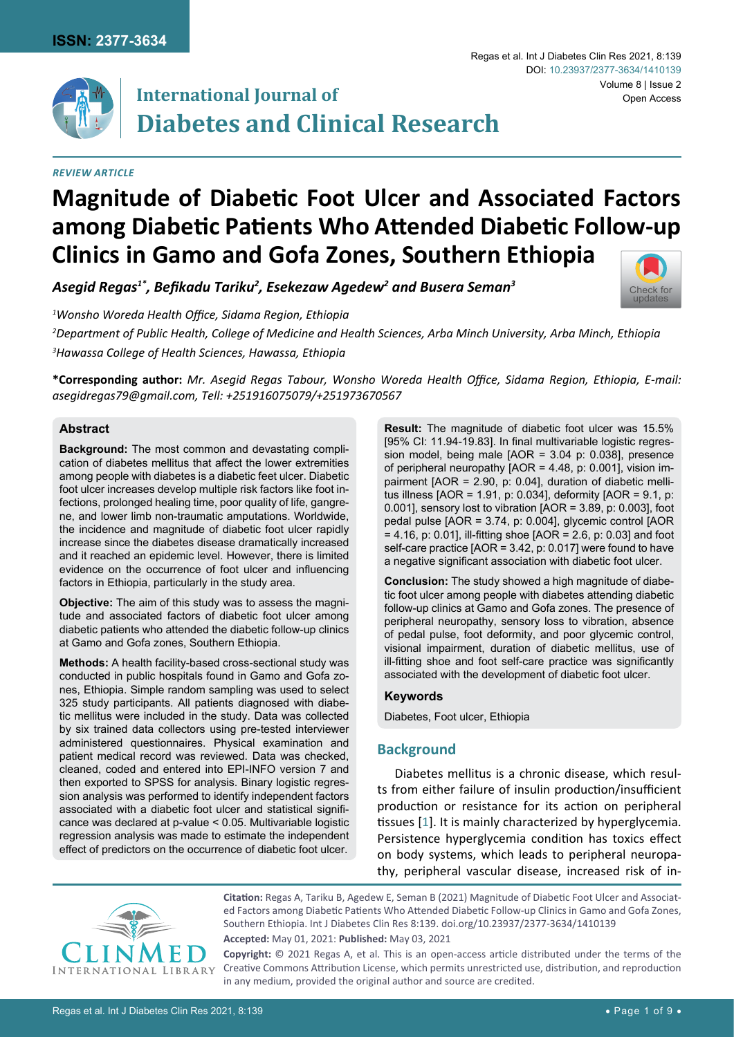

# **International Journal of Diabetes and Clinical Research**

### *Review Article*

# **Magnitude of Diabetic Foot Ulcer and Associated Factors among Diabetic Patients Who Attended Diabetic Follow-up Clinics in Gamo and Gofa Zones, Southern Ethiopia**

*Asegid Regas1\*, Befikadu Tariku<sup>2</sup> , Esekezaw Agedew<sup>2</sup> and Busera Seman<sup>3</sup>*

*1 Wonsho Woreda Health Office, Sidama Region, Ethiopia*

*2 Department of Public Health, College of Medicine and Health Sciences, Arba Minch University, Arba Minch, Ethiopia*

*3 Hawassa College of Health Sciences, Hawassa, Ethiopia*

**\*Corresponding author:** *Mr. Asegid Regas Tabour, Wonsho Woreda Health Office, Sidama Region, Ethiopia, E-mail: asegidregas79@gmail.com, Tell: +251916075079/+251973670567*

### **Abstract**

**Background:** The most common and devastating complication of diabetes mellitus that affect the lower extremities among people with diabetes is a diabetic feet ulcer. Diabetic foot ulcer increases develop multiple risk factors like foot infections, prolonged healing time, poor quality of life, gangrene, and lower limb non-traumatic amputations. Worldwide, the incidence and magnitude of diabetic foot ulcer rapidly increase since the diabetes disease dramatically increased and it reached an epidemic level. However, there is limited evidence on the occurrence of foot ulcer and influencing factors in Ethiopia, particularly in the study area.

**Objective:** The aim of this study was to assess the magnitude and associated factors of diabetic foot ulcer among diabetic patients who attended the diabetic follow-up clinics at Gamo and Gofa zones, Southern Ethiopia.

**Methods:** A health facility-based cross-sectional study was conducted in public hospitals found in Gamo and Gofa zones, Ethiopia. Simple random sampling was used to select 325 study participants. All patients diagnosed with diabetic mellitus were included in the study. Data was collected by six trained data collectors using pre-tested interviewer administered questionnaires. Physical examination and patient medical record was reviewed. Data was checked, cleaned, coded and entered into EPI-INFO version 7 and then exported to SPSS for analysis. Binary logistic regression analysis was performed to identify independent factors associated with a diabetic foot ulcer and statistical significance was declared at p-value < 0.05. Multivariable logistic regression analysis was made to estimate the independent effect of predictors on the occurrence of diabetic foot ulcer.

**Result:** The magnitude of diabetic foot ulcer was 15.5% [95% CI: 11.94-19.83]. In final multivariable logistic regression model, being male [AOR = 3.04 p: 0.038], presence of peripheral neuropathy [AOR = 4.48, p: 0.001], vision impairment [AOR = 2.90, p: 0.04], duration of diabetic mellitus illness [AOR = 1.91, p: 0.034], deformity [AOR = 9.1, p: 0.001], sensory lost to vibration [AOR = 3.89, p: 0.003], foot pedal pulse [AOR = 3.74, p: 0.004], glycemic control [AOR = 4.16, p: 0.01], ill-fitting shoe [AOR = 2.6, p: 0.03] and foot self-care practice [AOR = 3.42, p: 0.017] were found to have a negative significant association with diabetic foot ulcer.

Regas et al. Int J Diabetes Clin Res 2021, 8:139

DOI: [10.23937/2377-3634/1410139](https://doi.org/10.23937/2377-3634/1410139)

Volume 8 | Issue 2

Open Access

[Check for](http://crossmark.crossref.org/dialog/?doi=10.23937/2377-3634/1410139&domain=pdf) updates

**Conclusion:** The study showed a high magnitude of diabetic foot ulcer among people with diabetes attending diabetic follow-up clinics at Gamo and Gofa zones. The presence of peripheral neuropathy, sensory loss to vibration, absence of pedal pulse, foot deformity, and poor glycemic control, visional impairment, duration of diabetic mellitus, use of ill-fitting shoe and foot self-care practice was significantly associated with the development of diabetic foot ulcer.

#### **Keywords**

Diabetes, Foot ulcer, Ethiopia

## **Background**

Diabetes mellitus is a chronic disease, which results from either failure of insulin production/insufficient production or resistance for its action on peripheral tissues [[1](#page-6-0)]. It is mainly characterized by hyperglycemia. Persistence hyperglycemia condition has toxics effect on body systems, which leads to peripheral neuropathy, peripheral vascular disease, increased risk of in-

**Citation:** Regas A, Tariku B, Agedew E, Seman B (2021) Magnitude of Diabetic Foot Ulcer and Associated Factors among Diabetic Patients Who Attended Diabetic Follow-up Clinics in Gamo and Gofa Zones, Southern Ethiopia. Int J Diabetes Clin Res 8:139. [doi.org/10.23937/2377-3634/1410139](https://doi.org/10.23937/2377-3634/1410139)

**Accepted:** May 01, 2021: **Published:** May 03, 2021

**Copyright:** © 2021 Regas A, et al. This is an open-access article distributed under the terms of the Creative Commons Attribution License, which permits unrestricted use, distribution, and reproduction in any medium, provided the original author and source are credited.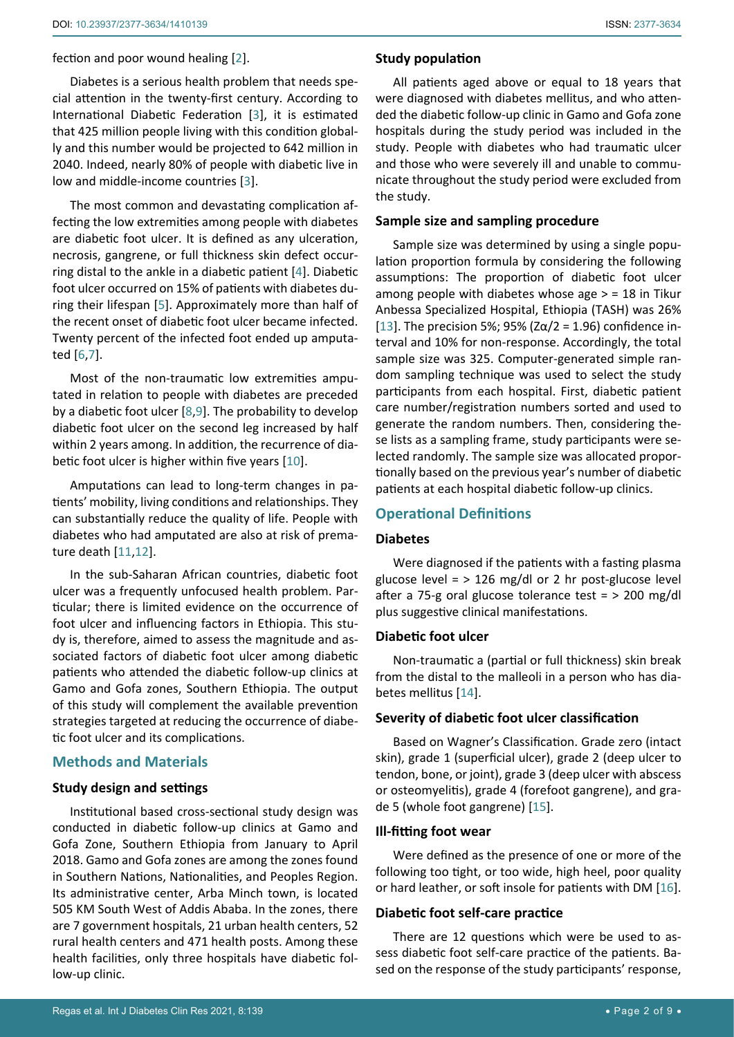fection and poor wound healing [[2](#page-6-1)].

Diabetes is a serious health problem that needs special attention in the twenty-first century. According to International Diabetic Federation [\[3\]](#page-6-2), it is estimated that 425 million people living with this condition globally and this number would be projected to 642 million in 2040. Indeed, nearly 80% of people with diabetic live in low and middle-income countries [[3\]](#page-6-2).

The most common and devastating complication affecting the low extremities among people with diabetes are diabetic foot ulcer. It is defined as any ulceration, necrosis, gangrene, or full thickness skin defect occurring distal to the ankle in a diabetic patient [[4](#page-7-4)]. Diabetic foot ulcer occurred on 15% of patients with diabetes during their lifespan [\[5\]](#page-7-5). Approximately more than half of the recent onset of diabetic foot ulcer became infected. Twenty percent of the infected foot ended up amputated [\[6](#page-7-6),[7](#page-7-7)].

Most of the non-traumatic low extremities amputated in relation to people with diabetes are preceded by a diabetic foot ulcer [\[8](#page-7-8),[9](#page-7-9)]. The probability to develop diabetic foot ulcer on the second leg increased by half within 2 years among. In addition, the recurrence of diabetic foot ulcer is higher within five years [[10](#page-7-10)].

Amputations can lead to long-term changes in patients' mobility, living conditions and relationships. They can substantially reduce the quality of life. People with diabetes who had amputated are also at risk of premature death [[11,](#page-7-11)[12](#page-7-12)].

In the sub-Saharan African countries, diabetic foot ulcer was a frequently unfocused health problem. Particular; there is limited evidence on the occurrence of foot ulcer and influencing factors in Ethiopia. This study is, therefore, aimed to assess the magnitude and associated factors of diabetic foot ulcer among diabetic patients who attended the diabetic follow-up clinics at Gamo and Gofa zones, Southern Ethiopia. The output of this study will complement the available prevention strategies targeted at reducing the occurrence of diabetic foot ulcer and its complications.

## **Methods and Materials**

#### **Study design and settings**

Institutional based cross-sectional study design was conducted in diabetic follow-up clinics at Gamo and Gofa Zone, Southern Ethiopia from January to April 2018. Gamo and Gofa zones are among the zones found in Southern Nations, Nationalities, and Peoples Region. Its administrative center, Arba Minch town, is located 505 KM South West of Addis Ababa. In the zones, there are 7 government hospitals, 21 urban health centers, 52 rural health centers and 471 health posts. Among these health facilities, only three hospitals have diabetic follow-up clinic.

All patients aged above or equal to 18 years that were diagnosed with diabetes mellitus, and who attended the diabetic follow-up clinic in Gamo and Gofa zone hospitals during the study period was included in the study. People with diabetes who had traumatic ulcer and those who were severely ill and unable to communicate throughout the study period were excluded from the study.

#### **Sample size and sampling procedure**

Sample size was determined by using a single population proportion formula by considering the following assumptions: The proportion of diabetic foot ulcer among people with diabetes whose age > = 18 in Tikur Anbessa Specialized Hospital, Ethiopia (TASH) was 26% [\[13](#page-7-0)]. The precision 5%; 95% (Zα/2 = 1.96) confidence interval and 10% for non-response. Accordingly, the total sample size was 325. Computer-generated simple random sampling technique was used to select the study participants from each hospital. First, diabetic patient care number/registration numbers sorted and used to generate the random numbers. Then, considering these lists as a sampling frame, study participants were selected randomly. The sample size was allocated proportionally based on the previous year's number of diabetic patients at each hospital diabetic follow-up clinics.

# **Operational Definitions**

#### **Diabetes**

Were diagnosed if the patients with a fasting plasma glucose level  $=$  > 126 mg/dl or 2 hr post-glucose level after a 75-g oral glucose tolerance test = > 200 mg/dl plus suggestive clinical manifestations.

#### **Diabetic foot ulcer**

Non-traumatic a (partial or full thickness) skin break from the distal to the malleoli in a person who has diabetes mellitus [\[14\]](#page-7-1).

#### **Severity of diabetic foot ulcer classification**

Based on Wagner's Classification. Grade zero (intact skin), grade 1 (superficial ulcer), grade 2 (deep ulcer to tendon, bone, or joint), grade 3 (deep ulcer with abscess or osteomyelitis), grade 4 (forefoot gangrene), and grade 5 (whole foot gangrene) [\[15](#page-7-2)].

#### **Ill-fitting foot wear**

Were defined as the presence of one or more of the following too tight, or too wide, high heel, poor quality or hard leather, or soft insole for patients with DM [\[16\]](#page-7-3).

## **Diabetic foot self-care practice**

There are 12 questions which were be used to assess diabetic foot self-care practice of the patients. Based on the response of the study participants' response,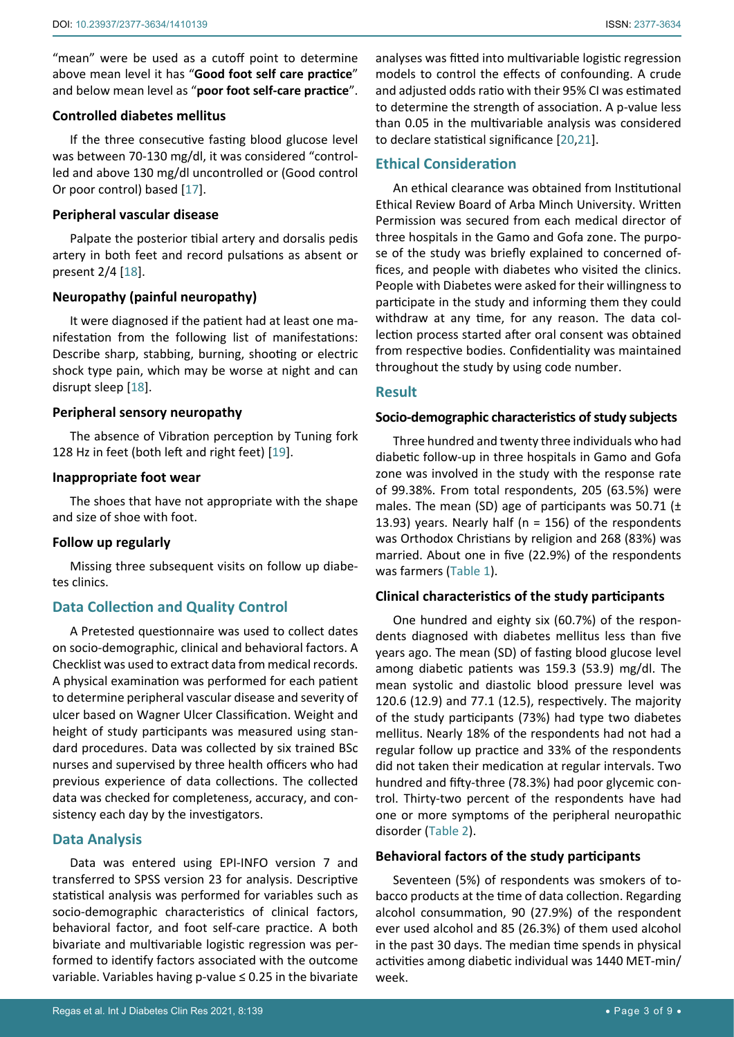"mean" were be used as a cutoff point to determine above mean level it has "**Good foot self care practice**" and below mean level as "**poor foot self-care practice**".

#### **Controlled diabetes mellitus**

If the three consecutive fasting blood glucose level was between 70-130 mg/dl, it was considered "controlled and above 130 mg/dl uncontrolled or (Good control Or poor control) based [\[17](#page-7-15)].

#### **Peripheral vascular disease**

Palpate the posterior tibial artery and dorsalis pedis artery in both feet and record pulsations as absent or present 2/4 [[18\]](#page-7-16).

### **Neuropathy (painful neuropathy)**

It were diagnosed if the patient had at least one manifestation from the following list of manifestations: Describe sharp, stabbing, burning, shooting or electric shock type pain, which may be worse at night and can disrupt sleep [\[18](#page-7-16)].

#### **Peripheral sensory neuropathy**

The absence of Vibration perception by Tuning fork 128 Hz in feet (both left and right feet) [[19\]](#page-7-17).

#### **Inappropriate foot wear**

The shoes that have not appropriate with the shape and size of shoe with foot.

#### **Follow up regularly**

Missing three subsequent visits on follow up diabetes clinics.

## **Data Collection and Quality Control**

A Pretested questionnaire was used to collect dates on socio-demographic, clinical and behavioral factors. A Checklist was used to extract data from medical records. A physical examination was performed for each patient to determine peripheral vascular disease and severity of ulcer based on Wagner Ulcer Classification. Weight and height of study participants was measured using standard procedures. Data was collected by six trained BSc nurses and supervised by three health officers who had previous experience of data collections. The collected data was checked for completeness, accuracy, and consistency each day by the investigators.

## **Data Analysis**

Data was entered using EPI-INFO version 7 and transferred to SPSS version 23 for analysis. Descriptive statistical analysis was performed for variables such as socio-demographic characteristics of clinical factors, behavioral factor, and foot self-care practice. A both bivariate and multivariable logistic regression was performed to identify factors associated with the outcome variable. Variables having p-value ≤ 0.25 in the bivariate

analyses was fitted into multivariable logistic regression models to control the effects of confounding. A crude and adjusted odds ratio with their 95% CI was estimated to determine the strength of association. A p-value less than 0.05 in the multivariable analysis was considered to declare statistical significance [[20,](#page-7-13)[21](#page-7-14)].

## **Ethical Consideration**

An ethical clearance was obtained from Institutional Ethical Review Board of Arba Minch University. Written Permission was secured from each medical director of three hospitals in the Gamo and Gofa zone. The purpose of the study was briefly explained to concerned offices, and people with diabetes who visited the clinics. People with Diabetes were asked for their willingness to participate in the study and informing them they could withdraw at any time, for any reason. The data collection process started after oral consent was obtained from respective bodies. Confidentiality was maintained throughout the study by using code number.

#### **Result**

#### **Socio-demographic characteristics of study subjects**

Three hundred and twenty three individuals who had diabetic follow-up in three hospitals in Gamo and Gofa zone was involved in the study with the response rate of 99.38%. From total respondents, 205 (63.5%) were males. The mean (SD) age of participants was 50.71 ( $\pm$ 13.93) years. Nearly half (n = 156) of the respondents was Orthodox Christians by religion and 268 (83%) was married. About one in five (22.9%) of the respondents was farmers ([Table 1\)](#page-3-0).

#### **Clinical characteristics of the study participants**

One hundred and eighty six (60.7%) of the respondents diagnosed with diabetes mellitus less than five years ago. The mean (SD) of fasting blood glucose level among diabetic patients was 159.3 (53.9) mg/dl. The mean systolic and diastolic blood pressure level was 120.6 (12.9) and 77.1 (12.5), respectively. The majority of the study participants (73%) had type two diabetes mellitus. Nearly 18% of the respondents had not had a regular follow up practice and 33% of the respondents did not taken their medication at regular intervals. Two hundred and fifty-three (78.3%) had poor glycemic control. Thirty-two percent of the respondents have had one or more symptoms of the peripheral neuropathic disorder ([Table 2](#page-3-1)).

#### **Behavioral factors of the study participants**

Seventeen (5%) of respondents was smokers of tobacco products at the time of data collection. Regarding alcohol consummation, 90 (27.9%) of the respondent ever used alcohol and 85 (26.3%) of them used alcohol in the past 30 days. The median time spends in physical activities among diabetic individual was 1440 MET-min/ week.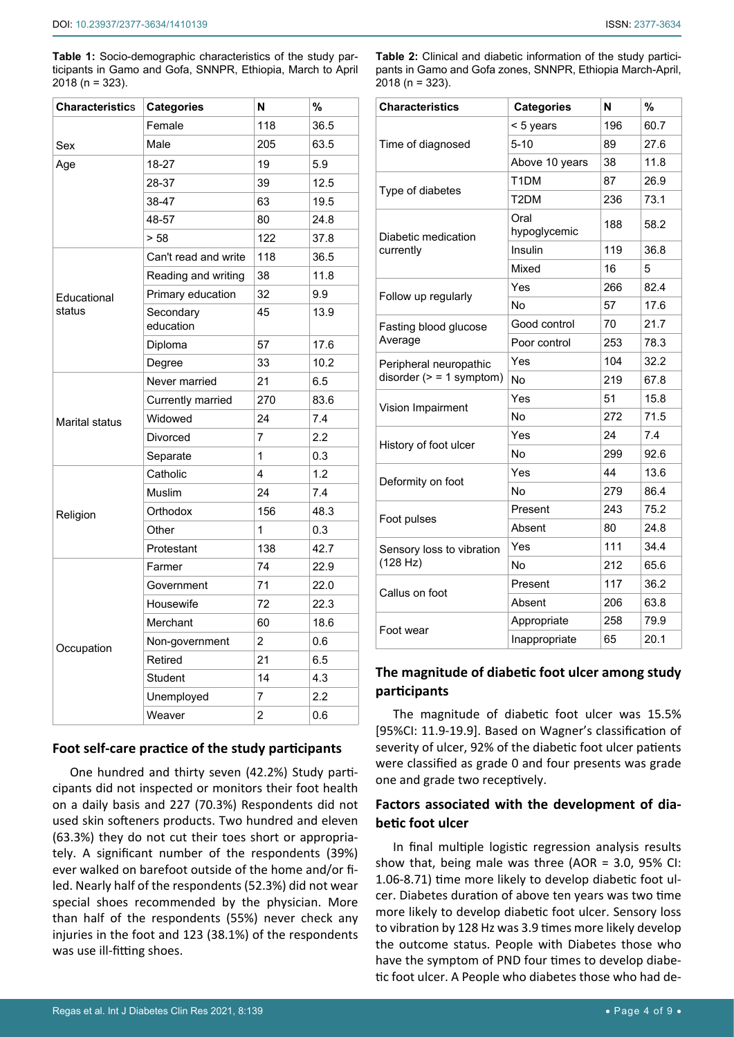<span id="page-3-0"></span>**Table 1:** Socio-demographic characteristics of the study participants in Gamo and Gofa, SNNPR, Ethiopia, March to April 2018 (n = 323).

| <b>Characteristics</b> | <b>Categories</b>      | N              | %    |
|------------------------|------------------------|----------------|------|
|                        | Female                 | 118            | 36.5 |
| Sex                    | Male                   | 205            | 63.5 |
| Age                    | 18-27                  | 19             | 5.9  |
|                        | 28-37                  | 39             | 12.5 |
|                        | 38-47                  | 63             | 19.5 |
|                        | 48-57                  | 80             | 24.8 |
|                        | > 58                   | 122            | 37.8 |
|                        | Can't read and write   | 118            | 36.5 |
|                        | Reading and writing    | 38             | 11.8 |
| Educational<br>status  | Primary education      | 32             | 9.9  |
|                        | Secondary<br>education | 45             | 13.9 |
|                        | Diploma                | 57             | 17.6 |
|                        | Degree                 | 33             | 10.2 |
|                        | Never married          | 21             | 6.5  |
|                        | Currently married      | 270            | 83.6 |
| <b>Marital status</b>  | Widowed                | 24             | 7.4  |
|                        | <b>Divorced</b>        | $\overline{7}$ | 2.2  |
|                        | Separate               | $\mathbf{1}$   | 0.3  |
| Religion               | Catholic               | 4              | 1.2  |
|                        | Muslim                 | 24             | 7.4  |
|                        | Orthodox               | 156            | 48.3 |
|                        | Other                  | 1              | 0.3  |
|                        | Protestant             | 138            | 42.7 |
|                        | Farmer                 | 74             | 22.9 |
|                        | Government             | 71             | 22.0 |
| Occupation             | Housewife              | 72             | 22.3 |
|                        | Merchant               | 60             | 18.6 |
|                        | Non-government         | 2              | 0.6  |
|                        | Retired                | 21             | 6.5  |
|                        | Student                | 14             | 4.3  |
|                        | Unemployed             | 7              | 2.2  |
|                        | Weaver                 | $\overline{c}$ | 0.6  |

# **Foot self-care practice of the study participants**

One hundred and thirty seven (42.2%) Study participants did not inspected or monitors their foot health on a daily basis and 227 (70.3%) Respondents did not used skin softeners products. Two hundred and eleven (63.3%) they do not cut their toes short or appropriately. A significant number of the respondents (39%) ever walked on barefoot outside of the home and/or filed. Nearly half of the respondents (52.3%) did not wear special shoes recommended by the physician. More than half of the respondents (55%) never check any injuries in the foot and 123 (38.1%) of the respondents was use ill-fitting shoes.

<span id="page-3-1"></span>**Table 2:** Clinical and diabetic information of the study participants in Gamo and Gofa zones, SNNPR, Ethiopia March-April, 2018 (n = 323).

| <b>Characteristics</b>    | <b>Categories</b>    | N   | %    |
|---------------------------|----------------------|-----|------|
|                           | < 5 years            | 196 | 60.7 |
| Time of diagnosed         | $5 - 10$             | 89  | 27.6 |
|                           | Above 10 years       | 38  | 11.8 |
|                           | T <sub>1</sub> DM    | 87  | 26.9 |
| Type of diabetes          | T2DM                 | 236 | 73.1 |
| Diabetic medication       | Oral<br>hypoglycemic | 188 | 58.2 |
| currently                 | Insulin              | 119 | 36.8 |
|                           | Mixed                | 16  | 5    |
|                           | Yes                  | 266 | 82.4 |
| Follow up regularly       | No                   | 57  | 17.6 |
| Fasting blood glucose     | Good control         | 70  | 21.7 |
| Average                   | Poor control         | 253 | 78.3 |
| Peripheral neuropathic    | Yes                  | 104 | 32.2 |
| disorder $(>= 1$ symptom) | No                   | 219 | 67.8 |
|                           | Yes                  | 51  | 15.8 |
| Vision Impairment         | No                   | 272 | 71.5 |
|                           | Yes                  | 24  | 7.4  |
| History of foot ulcer     | No                   | 299 | 92.6 |
| Deformity on foot         | Yes                  | 44  | 13.6 |
|                           | No                   | 279 | 86.4 |
|                           | Present              | 243 | 75.2 |
| Foot pulses               | Absent               | 80  | 24.8 |
| Sensory loss to vibration | Yes                  | 111 | 34.4 |
| (128 Hz)                  | No                   | 212 | 65.6 |
| Callus on foot            | Present              | 117 | 36.2 |
|                           | Absent               | 206 | 63.8 |
| Foot wear                 | Appropriate          | 258 | 79.9 |
|                           | Inappropriate        | 65  | 20.1 |

# **The magnitude of diabetic foot ulcer among study participants**

The magnitude of diabetic foot ulcer was 15.5% [95%CI: 11.9-19.9]. Based on Wagner's classification of severity of ulcer, 92% of the diabetic foot ulcer patients were classified as grade 0 and four presents was grade one and grade two receptively.

# **Factors associated with the development of diabetic foot ulcer**

In final multiple logistic regression analysis results show that, being male was three (AOR = 3.0, 95% CI: 1.06-8.71) time more likely to develop diabetic foot ulcer. Diabetes duration of above ten years was two time more likely to develop diabetic foot ulcer. Sensory loss to vibration by 128 Hz was 3.9 times more likely develop the outcome status. People with Diabetes those who have the symptom of PND four times to develop diabetic foot ulcer. A People who diabetes those who had de-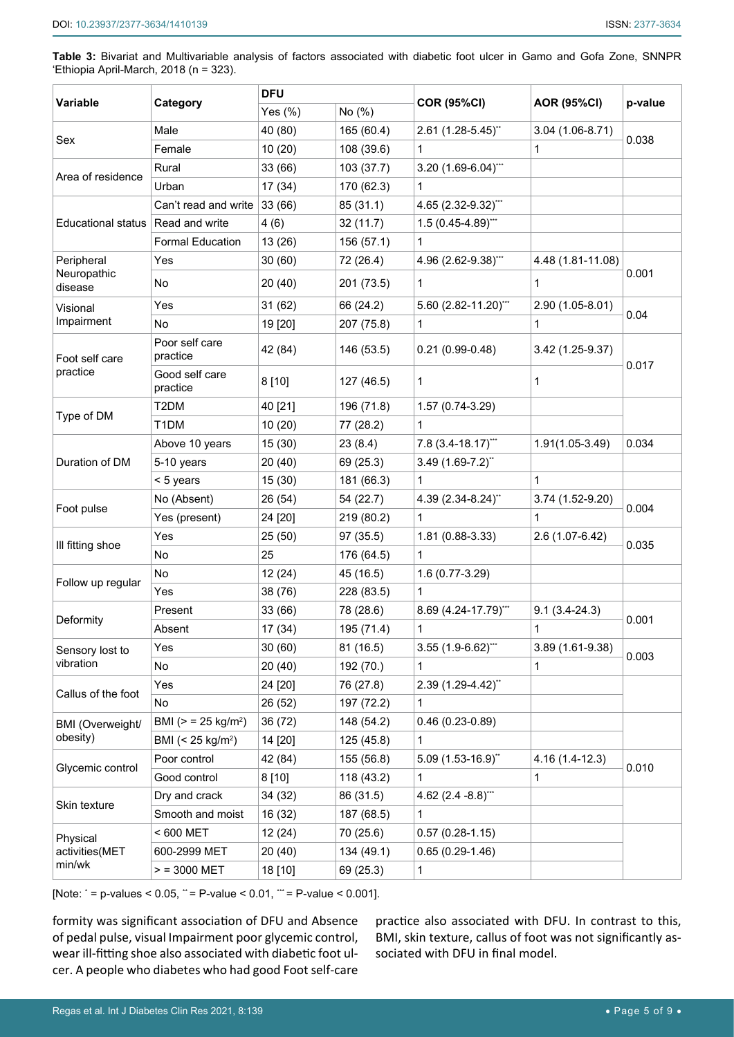**Table 3:** Bivariat and Multivariable analysis of factors associated with diabetic foot ulcer in Gamo and Gofa Zone, SNNPR 'Ethiopia April-March, 2018 (n = 323).

| Variable                             | Category                           | <b>DFU</b> |            |                        |                    |         |
|--------------------------------------|------------------------------------|------------|------------|------------------------|--------------------|---------|
|                                      |                                    | Yes $(\%)$ | No (%)     | <b>COR (95%CI)</b>     | <b>AOR (95%CI)</b> | p-value |
| Sex                                  | Male                               | 40 (80)    | 165 (60.4) | 2.61 (1.28-5.45)**     | $3.04(1.06-8.71)$  | 0.038   |
|                                      | Female                             | 10(20)     | 108 (39.6) | 1                      | 1                  |         |
| Area of residence                    | Rural                              | 33 (66)    | 103 (37.7) | 3.20 (1.69-6.04)***    |                    |         |
|                                      | Urban                              | 17(34)     | 170 (62.3) | $\mathbf 1$            |                    |         |
|                                      | Can't read and write               | 33(66)     | 85 (31.1)  | 4.65 (2.32-9.32)***    |                    |         |
| Educational status   Read and write  |                                    | 4(6)       | 32(11.7)   | $1.5(0.45-4.89)$ ***   |                    |         |
|                                      | <b>Formal Education</b>            | 13(26)     | 156 (57.1) | 1                      |                    |         |
| Peripheral<br>Neuropathic<br>disease | Yes                                | 30(60)     | 72 (26.4)  | 4.96 (2.62-9.38)"**    | 4.48 (1.81-11.08)  | 0.001   |
|                                      | No                                 | 20(40)     | 201 (73.5) | 1                      | 1                  |         |
| Visional                             | Yes                                | 31(62)     | 66 (24.2)  | 5.60 (2.82-11.20)***   | 2.90 (1.05-8.01)   | 0.04    |
| Impairment                           | <b>No</b>                          | 19 [20]    | 207 (75.8) | $\mathbf 1$            | 1                  |         |
| Foot self care<br>practice           | Poor self care<br>practice         | 42 (84)    | 146 (53.5) | $0.21(0.99 - 0.48)$    | 3.42 (1.25-9.37)   | 0.017   |
|                                      | Good self care<br>practice         | 8 [10]     | 127 (46.5) | 1                      | 1                  |         |
| Type of DM                           | T <sub>2</sub> DM                  | 40 [21]    | 196 (71.8) | 1.57 (0.74-3.29)       |                    |         |
|                                      | T <sub>1</sub> DM                  | 10(20)     | 77 (28.2)  | $\mathbf{1}$           |                    |         |
|                                      | Above 10 years                     | 15(30)     | 23(8.4)    | 7.8 (3.4-18.17)***     | $1.91(1.05-3.49)$  | 0.034   |
| Duration of DM                       | 5-10 years                         | 20 (40)    | 69 (25.3)  | $3.49(1.69-7.2)^{*}$   |                    |         |
|                                      | < 5 years                          | 15(30)     | 181 (66.3) | 1                      | 1                  |         |
|                                      | No (Absent)                        | 26 (54)    | 54 (22.7)  | 4.39 (2.34-8.24)"      | $3.74(1.52-9.20)$  | 0.004   |
| Foot pulse                           | Yes (present)                      | 24 [20]    | 219 (80.2) | $\mathbf{1}$           | 1                  |         |
| III fitting shoe                     | Yes                                | 25(50)     | 97(35.5)   | 1.81 (0.88-3.33)       | 2.6 (1.07-6.42)    | 0.035   |
|                                      | No                                 | 25         | 176 (64.5) | $\mathbf{1}$           |                    |         |
| Follow up regular                    | No                                 | 12(24)     | 45 (16.5)  | 1.6 (0.77-3.29)        |                    |         |
|                                      | Yes                                | 38 (76)    | 228 (83.5) | $\mathbf{1}$           |                    |         |
| Deformity                            | Present                            | 33 (66)    | 78 (28.6)  | 8.69 (4.24-17.79)***   | $9.1(3.4-24.3)$    | 0.001   |
|                                      | Absent                             | 17 (34)    | 195 (71.4) | $\mathbf 1$            | 1                  |         |
| Sensory lost to<br>vibration         | Yes                                | 30(60)     | 81 (16.5)  | $3.55(1.9-6.62)$ "     | 3.89 (1.61-9.38)   | 0.003   |
|                                      | No                                 | 20(40)     | 192 (70.)  | 1                      | 1                  |         |
| Callus of the foot                   | Yes                                | 24 [20]    | 76 (27.8)  | 2.39 (1.29-4.42)"      |                    |         |
|                                      | No                                 | 26 (52)    | 197 (72.2) | 1                      |                    |         |
| <b>BMI</b> (Overweight/<br>obesity)  | BMI ( $>$ = 25 kg/m <sup>2</sup> ) | 36 (72)    | 148 (54.2) | $0.46(0.23-0.89)$      |                    |         |
|                                      | BMI (< 25 kg/m <sup>2</sup> )      | 14 [20]    | 125 (45.8) | 1                      |                    |         |
| Glycemic control                     | Poor control                       | 42 (84)    | 155 (56.8) | $5.09(1.53-16.9)$ "    | 4.16 (1.4-12.3)    | 0.010   |
|                                      | Good control                       | 8 [10]     | 118 (43.2) | 1                      | 1                  |         |
| Skin texture                         | Dry and crack                      | 34 (32)    | 86 (31.5)  | 4.62 $(2.4 - 8.8)$ *** |                    |         |
|                                      | Smooth and moist                   | 16 (32)    | 187 (68.5) | 1                      |                    |         |
| Physical<br>activities(MET<br>min/wk | < 600 MET                          | 12(24)     | 70 (25.6)  | $0.57(0.28-1.15)$      |                    |         |
|                                      | 600-2999 MET                       | 20(40)     | 134 (49.1) | $0.65(0.29-1.46)$      |                    |         |
|                                      | $> 3000$ MET                       | 18 [10]    | 69 (25.3)  | 1                      |                    |         |

[Note:  $^*$  = p-values < 0.05,  $^*$  = P-value < 0.01,  $^{\text{**}}$  = P-value < 0.001].

formity was significant association of DFU and Absence of pedal pulse, visual Impairment poor glycemic control, wear ill-fitting shoe also associated with diabetic foot ulcer. A people who diabetes who had good Foot self-care

practice also associated with DFU. In contrast to this, BMI, skin texture, callus of foot was not significantly associated with DFU in final model.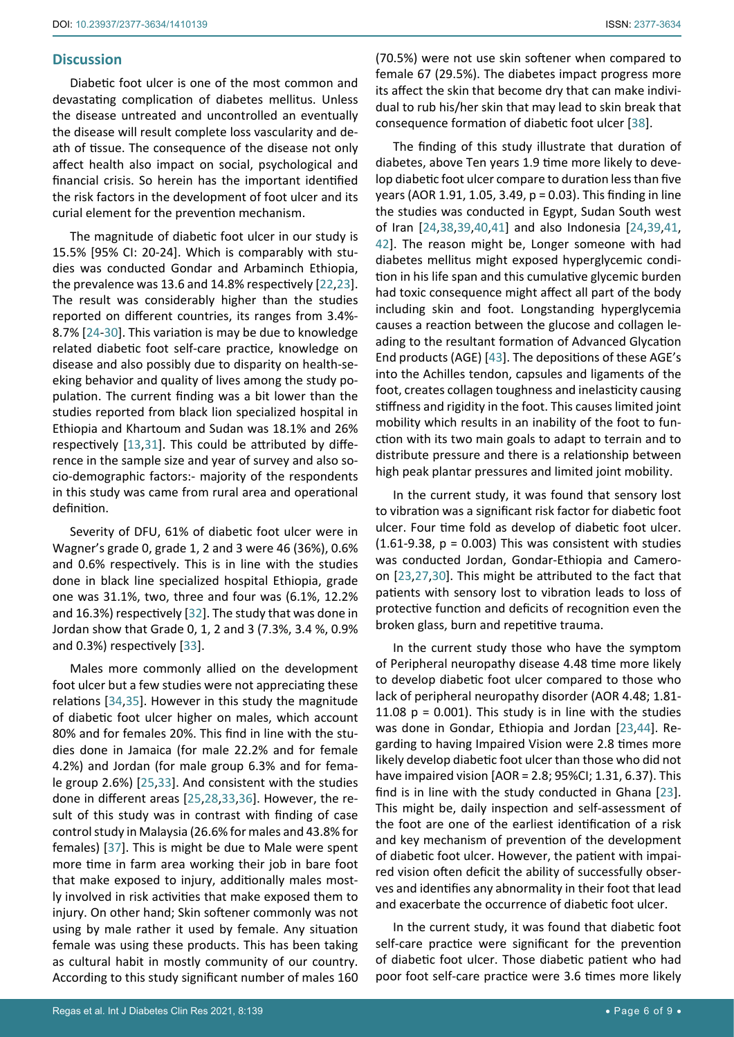## **Discussion**

Diabetic foot ulcer is one of the most common and devastating complication of diabetes mellitus. Unless the disease untreated and uncontrolled an eventually the disease will result complete loss vascularity and death of tissue. The consequence of the disease not only affect health also impact on social, psychological and financial crisis. So herein has the important identified the risk factors in the development of foot ulcer and its curial element for the prevention mechanism.

The magnitude of diabetic foot ulcer in our study is 15.5% [95% CI: 20-24]. Which is comparably with studies was conducted Gondar and Arbaminch Ethiopia, the prevalence was 13.6 and 14.8% respectively [[22,](#page-7-22)[23](#page-7-19)]. The result was considerably higher than the studies reported on different countries, its ranges from 3.4%- 8.7% [\[24](#page-7-18)-[30\]](#page-7-21). This variation is may be due to knowledge related diabetic foot self-care practice, knowledge on disease and also possibly due to disparity on health-seeking behavior and quality of lives among the study population. The current finding was a bit lower than the studies reported from black lion specialized hospital in Ethiopia and Khartoum and Sudan was 18.1% and 26% respectively [\[13](#page-7-0),[31](#page-7-23)]. This could be attributed by difference in the sample size and year of survey and also socio-demographic factors:- majority of the respondents in this study was came from rural area and operational definition.

Severity of DFU, 61% of diabetic foot ulcer were in Wagner's grade 0, grade 1, 2 and 3 were 46 (36%), 0.6% and 0.6% respectively. This is in line with the studies done in black line specialized hospital Ethiopia, grade one was 31.1%, two, three and four was (6.1%, 12.2% and 16.3%) respectively [\[32](#page-7-24)]. The study that was done in Jordan show that Grade 0, 1, 2 and 3 (7.3%, 3.4 %, 0.9% and 0.3%) respectively [[33](#page-7-25)].

Males more commonly allied on the development foot ulcer but a few studies were not appreciating these relations [\[34](#page-7-26),[35](#page-7-27)]. However in this study the magnitude of diabetic foot ulcer higher on males, which account 80% and for females 20%. This find in line with the studies done in Jamaica (for male 22.2% and for female 4.2%) and Jordan (for male group 6.3% and for female group 2.6%) [\[25](#page-7-28),[33](#page-7-25)]. And consistent with the studies done in different areas [\[25](#page-7-28),[28](#page-7-29),[33](#page-7-25),[36\]](#page-7-30). However, the result of this study was in contrast with finding of case control study in Malaysia (26.6% for males and 43.8% for females) [\[37\]](#page-7-31). This is might be due to Male were spent more time in farm area working their job in bare foot that make exposed to injury, additionally males mostly involved in risk activities that make exposed them to injury. On other hand; Skin softener commonly was not using by male rather it used by female. Any situation female was using these products. This has been taking as cultural habit in mostly community of our country. According to this study significant number of males 160 (70.5%) were not use skin softener when compared to female 67 (29.5%). The diabetes impact progress more its affect the skin that become dry that can make individual to rub his/her skin that may lead to skin break that consequence formation of diabetic foot ulcer [\[38\]](#page-8-0).

The finding of this study illustrate that duration of diabetes, above Ten years 1.9 time more likely to develop diabetic foot ulcer compare to duration less than five years (AOR 1.91, 1.05, 3.49, p = 0.03). This finding in line the studies was conducted in Egypt, Sudan South west of Iran [\[24](#page-7-18),[38](#page-8-0),[39](#page-8-1),[40](#page-8-2),[41\]](#page-8-3) and also Indonesia [\[24](#page-7-18),[39](#page-8-1),[41](#page-8-3), [42\]](#page-8-4). The reason might be, Longer someone with had diabetes mellitus might exposed hyperglycemic condition in his life span and this cumulative glycemic burden had toxic consequence might affect all part of the body including skin and foot. Longstanding hyperglycemia causes a reaction between the glucose and collagen leading to the resultant formation of Advanced Glycation End products (AGE) [[43\]](#page-8-5). The depositions of these AGE's into the Achilles tendon, capsules and ligaments of the foot, creates collagen toughness and inelasticity causing stiffness and rigidity in the foot. This causes limited joint mobility which results in an inability of the foot to function with its two main goals to adapt to terrain and to distribute pressure and there is a relationship between high peak plantar pressures and limited joint mobility.

In the current study, it was found that sensory lost to vibration was a significant risk factor for diabetic foot ulcer. Four time fold as develop of diabetic foot ulcer. (1.61-9.38,  $p = 0.003$ ) This was consistent with studies was conducted Jordan, Gondar-Ethiopia and Cameroon [[23](#page-7-19),[27](#page-7-20),[30\]](#page-7-21). This might be attributed to the fact that patients with sensory lost to vibration leads to loss of protective function and deficits of recognition even the broken glass, burn and repetitive trauma.

In the current study those who have the symptom of Peripheral neuropathy disease 4.48 time more likely to develop diabetic foot ulcer compared to those who lack of peripheral neuropathy disorder (AOR 4.48; 1.81- 11.08  $p = 0.001$ ). This study is in line with the studies was done in Gondar, Ethiopia and Jordan [[23](#page-7-19),[44\]](#page-8-6). Regarding to having Impaired Vision were 2.8 times more likely develop diabetic foot ulcer than those who did not have impaired vision [AOR = 2.8; 95%CI; 1.31, 6.37). This find is in line with the study conducted in Ghana [\[23\]](#page-7-19). This might be, daily inspection and self-assessment of the foot are one of the earliest identification of a risk and key mechanism of prevention of the development of diabetic foot ulcer. However, the patient with impaired vision often deficit the ability of successfully observes and identifies any abnormality in their foot that lead and exacerbate the occurrence of diabetic foot ulcer.

In the current study, it was found that diabetic foot self-care practice were significant for the prevention of diabetic foot ulcer. Those diabetic patient who had poor foot self-care practice were 3.6 times more likely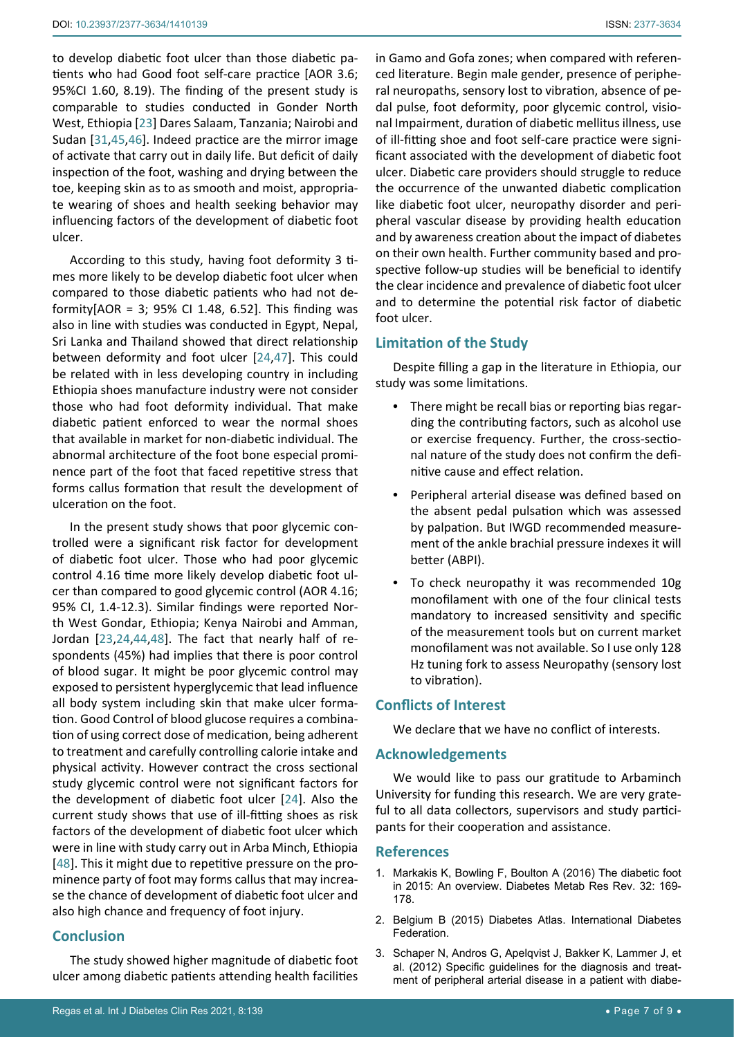to develop diabetic foot ulcer than those diabetic patients who had Good foot self-care practice [AOR 3.6; 95%CI 1.60, 8.19). The finding of the present study is comparable to studies conducted in Gonder North West, Ethiopia [[23\]](#page-7-19) Dares Salaam, Tanzania; Nairobi and Sudan [\[31](#page-7-23),[45](#page-8-7),[46](#page-8-8)]. Indeed practice are the mirror image of activate that carry out in daily life. But deficit of daily inspection of the foot, washing and drying between the toe, keeping skin as to as smooth and moist, appropriate wearing of shoes and health seeking behavior may influencing factors of the development of diabetic foot ulcer.

According to this study, having foot deformity 3 times more likely to be develop diabetic foot ulcer when compared to those diabetic patients who had not deformity[AOR = 3; 95% CI 1.48, 6.52]. This finding was also in line with studies was conducted in Egypt, Nepal, Sri Lanka and Thailand showed that direct relationship between deformity and foot ulcer [\[24](#page-7-18),[47](#page-8-9)]. This could be related with in less developing country in including Ethiopia shoes manufacture industry were not consider those who had foot deformity individual. That make diabetic patient enforced to wear the normal shoes that available in market for non-diabetic individual. The abnormal architecture of the foot bone especial prominence part of the foot that faced repetitive stress that forms callus formation that result the development of ulceration on the foot.

In the present study shows that poor glycemic controlled were a significant risk factor for development of diabetic foot ulcer. Those who had poor glycemic control 4.16 time more likely develop diabetic foot ulcer than compared to good glycemic control (AOR 4.16; 95% CI, 1.4-12.3). Similar findings were reported North West Gondar, Ethiopia; Kenya Nairobi and Amman, Jordan [\[23](#page-7-19),[24](#page-7-18),[44](#page-8-6),[48](#page-8-10)]. The fact that nearly half of respondents (45%) had implies that there is poor control of blood sugar. It might be poor glycemic control may exposed to persistent hyperglycemic that lead influence all body system including skin that make ulcer formation. Good Control of blood glucose requires a combination of using correct dose of medication, being adherent to treatment and carefully controlling calorie intake and physical activity. However contract the cross sectional study glycemic control were not significant factors for the development of diabetic foot ulcer [[24](#page-7-18)]. Also the current study shows that use of ill-fitting shoes as risk factors of the development of diabetic foot ulcer which were in line with study carry out in Arba Minch, Ethiopia [[48](#page-8-10)]. This it might due to repetitive pressure on the prominence party of foot may forms callus that may increase the chance of development of diabetic foot ulcer and also high chance and frequency of foot injury.

# **Conclusion**

The study showed higher magnitude of diabetic foot ulcer among diabetic patients attending health facilities

in Gamo and Gofa zones; when compared with referenced literature. Begin male gender, presence of peripheral neuropaths, sensory lost to vibration, absence of pedal pulse, foot deformity, poor glycemic control, visional Impairment, duration of diabetic mellitus illness, use of ill-fitting shoe and foot self-care practice were significant associated with the development of diabetic foot ulcer. Diabetic care providers should struggle to reduce the occurrence of the unwanted diabetic complication like diabetic foot ulcer, neuropathy disorder and peripheral vascular disease by providing health education and by awareness creation about the impact of diabetes on their own health. Further community based and prospective follow-up studies will be beneficial to identify the clear incidence and prevalence of diabetic foot ulcer and to determine the potential risk factor of diabetic foot ulcer.

# **Limitation of the Study**

Despite filling a gap in the literature in Ethiopia, our study was some limitations.

- **•**  There might be recall bias or reporting bias regarding the contributing factors, such as alcohol use or exercise frequency. Further, the cross-sectional nature of the study does not confirm the definitive cause and effect relation.
- Peripheral arterial disease was defined based on the absent pedal pulsation which was assessed by palpation. But IWGD recommended measurement of the ankle brachial pressure indexes it will better (ABPI).
- **•**  To check neuropathy it was recommended 10g monofilament with one of the four clinical tests mandatory to increased sensitivity and specific of the measurement tools but on current market monofilament was not available. So I use only 128 Hz tuning fork to assess Neuropathy (sensory lost to vibration).

# **Conflicts of Interest**

We declare that we have no conflict of interests.

## **Acknowledgements**

We would like to pass our gratitude to Arbaminch University for funding this research. We are very grateful to all data collectors, supervisors and study participants for their cooperation and assistance.

## **References**

- <span id="page-6-0"></span>1. [Markakis K, Bowling F, Boulton A \(2016\) The diabetic foot](https://pubmed.ncbi.nlm.nih.gov/26451519/)  [in 2015: An overview. Diabetes Metab Res Rev. 32: 169-](https://pubmed.ncbi.nlm.nih.gov/26451519/) [178.](https://pubmed.ncbi.nlm.nih.gov/26451519/)
- <span id="page-6-1"></span>2. Belgium B (2015) Diabetes Atlas. International Diabetes Federation.
- <span id="page-6-2"></span>3. [Schaper N, Andros G, Apelqvist J, Bakker K, Lammer J, et](https://pubmed.ncbi.nlm.nih.gov/22271745/)  [al. \(2012\) Specific guidelines for the diagnosis and treat](https://pubmed.ncbi.nlm.nih.gov/22271745/)[ment of peripheral arterial disease in a patient with diabe](https://pubmed.ncbi.nlm.nih.gov/22271745/)-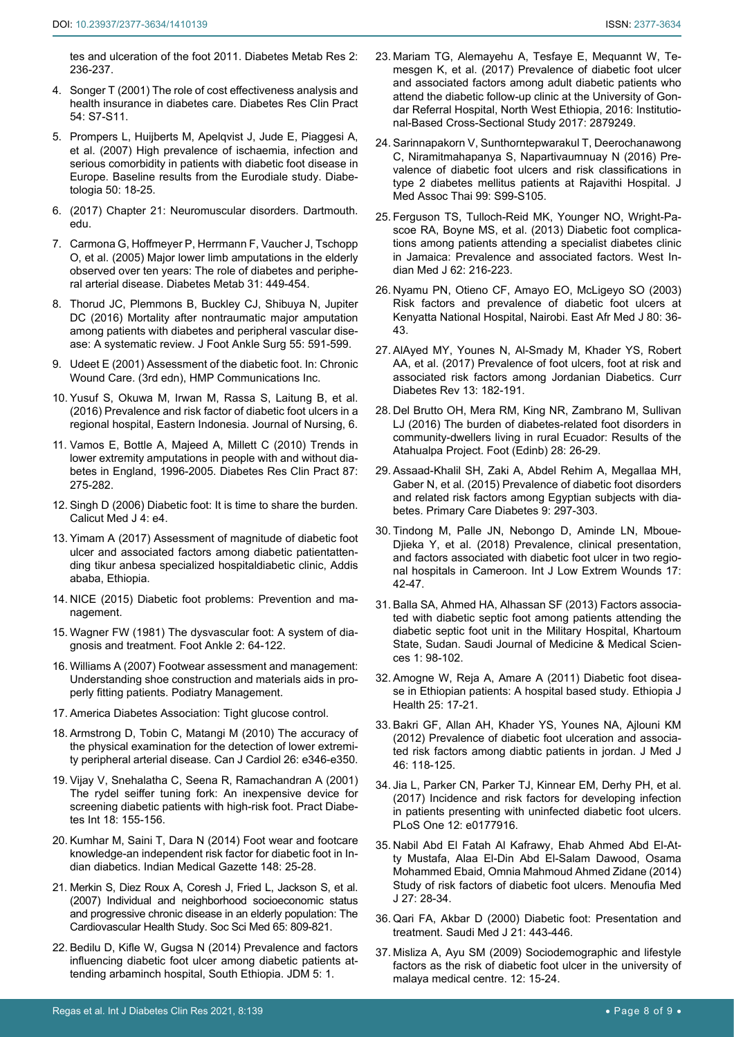<span id="page-7-4"></span>[tes and ulceration of the foot 2011. Diabetes Metab Res 2:](https://pubmed.ncbi.nlm.nih.gov/22271745/)  [236-237.](https://pubmed.ncbi.nlm.nih.gov/22271745/)

- 4. [Songer T \(2001\) The role of cost effectiveness analysis and](https://pubmed.ncbi.nlm.nih.gov/11580963/)  [health insurance in diabetes care. Diabetes Res Clin Pract](https://pubmed.ncbi.nlm.nih.gov/11580963/)  [54: S7-S11.](https://pubmed.ncbi.nlm.nih.gov/11580963/)
- <span id="page-7-5"></span>5. [Prompers L, Huijberts M, Apelqvist J, Jude E, Piaggesi A,](https://pubmed.ncbi.nlm.nih.gov/17093942/)  [et al. \(2007\) High prevalence of ischaemia, infection and](https://pubmed.ncbi.nlm.nih.gov/17093942/)  [serious comorbidity in patients with diabetic foot disease in](https://pubmed.ncbi.nlm.nih.gov/17093942/)  [Europe. Baseline results from the Eurodiale study. Diabe](https://pubmed.ncbi.nlm.nih.gov/17093942/)[tologia 50: 18-25.](https://pubmed.ncbi.nlm.nih.gov/17093942/)
- <span id="page-7-6"></span>6. (2017) Chapter 21: Neuromuscular disorders. Dartmouth. edu.
- <span id="page-7-7"></span>7. [Carmona G, Hoffmeyer P, Herrmann F, Vaucher J, Tschopp](https://pubmed.ncbi.nlm.nih.gov/16357788/)  [O, et al. \(2005\) Major lower limb amputations in the elderly](https://pubmed.ncbi.nlm.nih.gov/16357788/)  [observed over ten years: The role of diabetes and periphe](https://pubmed.ncbi.nlm.nih.gov/16357788/)[ral arterial disease. Diabetes Metab 31: 449-454.](https://pubmed.ncbi.nlm.nih.gov/16357788/)
- <span id="page-7-8"></span>8. Thorud JC, Plemmons B, Buckley CJ, Shibuya N, Jupiter DC (2016) Mortality after nontraumatic major amputation among patients with diabetes and peripheral vascular disease: A systematic review. J Foot Ankle Surg 55: 591-599.
- <span id="page-7-9"></span>9. Udeet E (2001) Assessment of the diabetic foot. In: Chronic Wound Care. (3rd edn), HMP Communications Inc.
- <span id="page-7-10"></span>10. [Yusuf S, Okuwa M, Irwan M, Rassa S, Laitung B, et al.](https://www.scirp.org/journal/paperinformation.aspx?paperid=62824)  [\(2016\) Prevalence and risk factor of diabetic foot ulcers in a](https://www.scirp.org/journal/paperinformation.aspx?paperid=62824)  [regional hospital, Eastern Indonesia. Journal of Nursing, 6.](https://www.scirp.org/journal/paperinformation.aspx?paperid=62824)
- <span id="page-7-11"></span>11. [Vamos E, Bottle A, Majeed A, Millett C \(2010\) Trends in](https://pubmed.ncbi.nlm.nih.gov/20022126/)  [lower extremity amputations in people with and without dia](https://pubmed.ncbi.nlm.nih.gov/20022126/)[betes in England, 1996-2005. Diabetes Res Clin Pract 87:](https://pubmed.ncbi.nlm.nih.gov/20022126/)  [275-282.](https://pubmed.ncbi.nlm.nih.gov/20022126/)
- <span id="page-7-12"></span>12. Singh D (2006) Diabetic foot: It is time to share the burden. Calicut Med J 4: e4.
- <span id="page-7-0"></span>13. Yimam A (2017) Assessment of magnitude of diabetic foot ulcer and associated factors among diabetic patientattending tikur anbesa specialized hospitaldiabetic clinic, Addis ababa, Ethiopia.
- <span id="page-7-1"></span>14. NICE (2015) Diabetic foot problems: Prevention and management.
- <span id="page-7-2"></span>15. [Wagner FW \(1981\) The dysvascular foot: A system of dia](https://pubmed.ncbi.nlm.nih.gov/7319435/)[gnosis and treatment. Foot Ankle 2: 64-122.](https://pubmed.ncbi.nlm.nih.gov/7319435/)
- <span id="page-7-3"></span>16. [Williams A \(2007\) Footwear assessment and management:](https://podiatrym.com/cme/Oct07 CME.pdf)  [Understanding shoe construction and materials aids in pro](https://podiatrym.com/cme/Oct07 CME.pdf)[perly fitting patients. Podiatry Management.](https://podiatrym.com/cme/Oct07 CME.pdf)
- <span id="page-7-15"></span>17. [America Diabetes Association: Tight glucose control.](http://archives.diabetes.org/living-with-diabetes/treatment-and-care/blood-glucose-control/tight-diabetes-control.html)
- <span id="page-7-16"></span>18. [Armstrong D, Tobin C, Matangi M \(2010\) The accuracy of](https://pubmed.ncbi.nlm.nih.gov/21165366/)  [the physical examination for the detection of lower extremi](https://pubmed.ncbi.nlm.nih.gov/21165366/)[ty peripheral arterial disease. Can J Cardiol 26: e346-e350.](https://pubmed.ncbi.nlm.nih.gov/21165366/)
- <span id="page-7-17"></span>19. [Vijay V, Snehalatha C, Seena R, Ramachandran A \(2001\)](https://www.semanticscholar.org/paper/The-Rydel-Seiffer-tuning-fork%3A-an-inexpensive-for-Vijay-Snehalatha/a63f6635fd8cc9639d1669eb9255c471fa09633a)  [The rydel seiffer tuning fork: An inexpensive device for](https://www.semanticscholar.org/paper/The-Rydel-Seiffer-tuning-fork%3A-an-inexpensive-for-Vijay-Snehalatha/a63f6635fd8cc9639d1669eb9255c471fa09633a)  [screening diabetic patients with high-risk foot. Pract Diabe](https://www.semanticscholar.org/paper/The-Rydel-Seiffer-tuning-fork%3A-an-inexpensive-for-Vijay-Snehalatha/a63f6635fd8cc9639d1669eb9255c471fa09633a)[tes Int 18: 155-156.](https://www.semanticscholar.org/paper/The-Rydel-Seiffer-tuning-fork%3A-an-inexpensive-for-Vijay-Snehalatha/a63f6635fd8cc9639d1669eb9255c471fa09633a)
- <span id="page-7-13"></span>20. [Kumhar M, Saini T, Dara N \(2014\) Foot wear and footcare](https://imsear.searo.who.int/handle/123456789/157578)  [knowledge-an independent risk factor for diabetic foot in In](https://imsear.searo.who.int/handle/123456789/157578)[dian diabetics. Indian Medical Gazette 148: 25-28.](https://imsear.searo.who.int/handle/123456789/157578)
- <span id="page-7-14"></span>21. [Merkin S, Diez Roux A, Coresh J, Fried L, Jackson S, et al.](https://pubmed.ncbi.nlm.nih.gov/17499411/)  [\(2007\) Individual and neighborhood socioeconomic status](https://pubmed.ncbi.nlm.nih.gov/17499411/)  [and progressive chronic disease in an elderly population: The](https://pubmed.ncbi.nlm.nih.gov/17499411/)  [Cardiovascular Health Study. Soc Sci Med 65: 809-821.](https://pubmed.ncbi.nlm.nih.gov/17499411/)
- <span id="page-7-22"></span>22. [Bedilu D, Kifle W, Gugsa N \(2014\) Prevalence and factors](https://www.longdom.org/open-access/prevalence-and-factors-influencing-diabetic-foot-ulcer-among-diabetic-patients-2155-6156.1000322.pdf)  [influencing diabetic foot ulcer among diabetic patients at](https://www.longdom.org/open-access/prevalence-and-factors-influencing-diabetic-foot-ulcer-among-diabetic-patients-2155-6156.1000322.pdf)[tending arbaminch hospital, South Ethiopia. JDM 5: 1.](https://www.longdom.org/open-access/prevalence-and-factors-influencing-diabetic-foot-ulcer-among-diabetic-patients-2155-6156.1000322.pdf)
- <span id="page-7-19"></span>23. [Mariam TG, Alemayehu A, Tesfaye E, Mequannt W, Te](https://pubmed.ncbi.nlm.nih.gov/28791310/)[mesgen K, et al. \(2017\) Prevalence of diabetic foot ulcer](https://pubmed.ncbi.nlm.nih.gov/28791310/)  [and associated factors among adult diabetic patients who](https://pubmed.ncbi.nlm.nih.gov/28791310/)  [attend the diabetic follow-up clinic at the University of Gon](https://pubmed.ncbi.nlm.nih.gov/28791310/)[dar Referral Hospital, North West Ethiopia, 2016: Institutio](https://pubmed.ncbi.nlm.nih.gov/28791310/)[nal-Based Cross-Sectional Study 2017: 2879249.](https://pubmed.ncbi.nlm.nih.gov/28791310/)
- <span id="page-7-18"></span>24. [Sarinnapakorn V, Sunthorntepwarakul T, Deerochanawong](https://pubmed.ncbi.nlm.nih.gov/27266223/)  [C, Niramitmahapanya S, Napartivaumnuay N \(2016\) Pre](https://pubmed.ncbi.nlm.nih.gov/27266223/)[valence of diabetic foot ulcers and risk classifications in](https://pubmed.ncbi.nlm.nih.gov/27266223/)  [type 2 diabetes mellitus patients at Rajavithi Hospital. J](https://pubmed.ncbi.nlm.nih.gov/27266223/)  [Med Assoc Thai 99: S99-S105.](https://pubmed.ncbi.nlm.nih.gov/27266223/)
- <span id="page-7-28"></span>25. [Ferguson TS, Tulloch-Reid MK, Younger NO, Wright-Pa](https://pubmed.ncbi.nlm.nih.gov/24564043/)[scoe RA, Boyne MS, et al. \(2013\) Diabetic foot complica](https://pubmed.ncbi.nlm.nih.gov/24564043/)[tions among patients attending a specialist diabetes clinic](https://pubmed.ncbi.nlm.nih.gov/24564043/)  [in Jamaica: Prevalence and associated factors. West In](https://pubmed.ncbi.nlm.nih.gov/24564043/)[dian Med J 62: 216-223.](https://pubmed.ncbi.nlm.nih.gov/24564043/)
- 26. [Nyamu PN, Otieno CF, Amayo EO, McLigeyo SO \(2003\)](https://pubmed.ncbi.nlm.nih.gov/12755240/)  [Risk factors and prevalence of diabetic foot ulcers at](https://pubmed.ncbi.nlm.nih.gov/12755240/)  [Kenyatta National Hospital, Nairobi. East Afr Med J 80: 36-](https://pubmed.ncbi.nlm.nih.gov/12755240/) [43.](https://pubmed.ncbi.nlm.nih.gov/12755240/)
- <span id="page-7-20"></span>27. [AlAyed MY, Younes N, Al-Smady M, Khader YS, Robert](https://pubmed.ncbi.nlm.nih.gov/26652612/)  [AA, et al. \(2017\) Prevalence of foot ulcers, foot at risk and](https://pubmed.ncbi.nlm.nih.gov/26652612/)  [associated risk factors among Jordanian Diabetics. Curr](https://pubmed.ncbi.nlm.nih.gov/26652612/)  [Diabetes Rev 13: 182-191.](https://pubmed.ncbi.nlm.nih.gov/26652612/)
- <span id="page-7-29"></span>28. [Del Brutto OH, Mera RM, King NR, Zambrano M, Sullivan](https://pubmed.ncbi.nlm.nih.gov/27718386/)  [LJ \(2016\) The burden of diabetes-related foot disorders in](https://pubmed.ncbi.nlm.nih.gov/27718386/)  [community-dwellers living in rural Ecuador: Results of the](https://pubmed.ncbi.nlm.nih.gov/27718386/)  [Atahualpa Project. Foot \(Edinb\) 28: 26-29.](https://pubmed.ncbi.nlm.nih.gov/27718386/)
- 29. [Assaad-Khalil SH, Zaki A, Abdel Rehim A, Megallaa MH,](https://pubmed.ncbi.nlm.nih.gov/25543864/)  [Gaber N, et al. \(2015\) Prevalence of diabetic foot disorders](https://pubmed.ncbi.nlm.nih.gov/25543864/)  [and related risk factors among Egyptian subjects with dia](https://pubmed.ncbi.nlm.nih.gov/25543864/)[betes. Primary Care Diabetes 9: 297-303.](https://pubmed.ncbi.nlm.nih.gov/25543864/)
- <span id="page-7-21"></span>30. [Tindong M, Palle JN, Nebongo D, Aminde LN, Mboue-](https://pubmed.ncbi.nlm.nih.gov/29564949/)[Djieka Y, et al. \(2018\) Prevalence, clinical presentation,](https://pubmed.ncbi.nlm.nih.gov/29564949/)  [and factors associated with diabetic foot ulcer in two regio](https://pubmed.ncbi.nlm.nih.gov/29564949/)[nal hospitals in Cameroon. Int J Low Extrem Wounds 17:](https://pubmed.ncbi.nlm.nih.gov/29564949/)  [42-47.](https://pubmed.ncbi.nlm.nih.gov/29564949/)
- <span id="page-7-23"></span>31. [Balla SA, Ahmed HA, Alhassan SF \(2013\) Factors associa](https://www.sjmms.net/article.asp?issn=1658-631X;year=2013;volume=1;issue=2;spage=98;epage=102;aulast=Balla;type=0)[ted with diabetic septic foot among patients attending the](https://www.sjmms.net/article.asp?issn=1658-631X;year=2013;volume=1;issue=2;spage=98;epage=102;aulast=Balla;type=0)  [diabetic septic foot unit in the Military Hospital, Khartoum](https://www.sjmms.net/article.asp?issn=1658-631X;year=2013;volume=1;issue=2;spage=98;epage=102;aulast=Balla;type=0)  [State, Sudan. Saudi Journal of Medicine & Medical Scien](https://www.sjmms.net/article.asp?issn=1658-631X;year=2013;volume=1;issue=2;spage=98;epage=102;aulast=Balla;type=0)[ces 1: 98-102.](https://www.sjmms.net/article.asp?issn=1658-631X;year=2013;volume=1;issue=2;spage=98;epage=102;aulast=Balla;type=0)
- <span id="page-7-24"></span>32. [Amogne W, Reja A, Amare A \(2011\) Diabetic foot disea](https://www.ajol.info/index.php/ejhd/article/view/69841)[se in Ethiopian patients: A hospital based study. Ethiopia J](https://www.ajol.info/index.php/ejhd/article/view/69841)  [Health 25: 17-21.](https://www.ajol.info/index.php/ejhd/article/view/69841)
- <span id="page-7-25"></span>33. [Bakri GF, Allan AH, Khader YS, Younes NA, Ajlouni KM](https://applications.emro.who.int/imemrf/Jordan_Med_J/Jordan_Med_J_2012_46_2_118_125.pdf)  [\(2012\) Prevalence of diabetic foot ulceration and associa](https://applications.emro.who.int/imemrf/Jordan_Med_J/Jordan_Med_J_2012_46_2_118_125.pdf)[ted risk factors among diabtic patients in jordan. J Med J](https://applications.emro.who.int/imemrf/Jordan_Med_J/Jordan_Med_J_2012_46_2_118_125.pdf)  [46: 118-125.](https://applications.emro.who.int/imemrf/Jordan_Med_J/Jordan_Med_J_2012_46_2_118_125.pdf)
- <span id="page-7-26"></span>34. [Jia L, Parker CN, Parker TJ, Kinnear EM, Derhy PH, et al.](https://pubmed.ncbi.nlm.nih.gov/28545120/)  [\(2017\) Incidence and risk factors for developing infection](https://pubmed.ncbi.nlm.nih.gov/28545120/)  [in patients presenting with uninfected diabetic foot ulcers.](https://pubmed.ncbi.nlm.nih.gov/28545120/)  [PLoS One 12: e0177916.](https://pubmed.ncbi.nlm.nih.gov/28545120/)
- <span id="page-7-27"></span>35. [Nabil Abd El Fatah Al Kafrawy, Ehab Ahmed Abd El-At](https://www.mmj.eg.net/article.asp?issn=1110-2098;year=2014;volume=27;issue=1;spage=28;epage=34;aulast=Al)[ty Mustafa, Alaa El-Din Abd El-Salam Dawood, Osama](https://www.mmj.eg.net/article.asp?issn=1110-2098;year=2014;volume=27;issue=1;spage=28;epage=34;aulast=Al)  [Mohammed Ebaid, Omnia Mahmoud Ahmed Zidane \(2014\)](https://www.mmj.eg.net/article.asp?issn=1110-2098;year=2014;volume=27;issue=1;spage=28;epage=34;aulast=Al)  [Study of risk factors of diabetic foot ulcers. Menoufia Med](https://www.mmj.eg.net/article.asp?issn=1110-2098;year=2014;volume=27;issue=1;spage=28;epage=34;aulast=Al)  [J 27: 28-34.](https://www.mmj.eg.net/article.asp?issn=1110-2098;year=2014;volume=27;issue=1;spage=28;epage=34;aulast=Al)
- <span id="page-7-30"></span>36. [Qari FA, Akbar D \(2000\) Diabetic foot: Presentation and](https://pubmed.ncbi.nlm.nih.gov/11500678/)  [treatment. Saudi Med J 21: 443-446.](https://pubmed.ncbi.nlm.nih.gov/11500678/)
- <span id="page-7-31"></span>37. Misliza A, Ayu SM (2009) Sociodemographic and lifestyle factors as the risk of diabetic foot ulcer in the university of malaya medical centre. 12: 15-24.